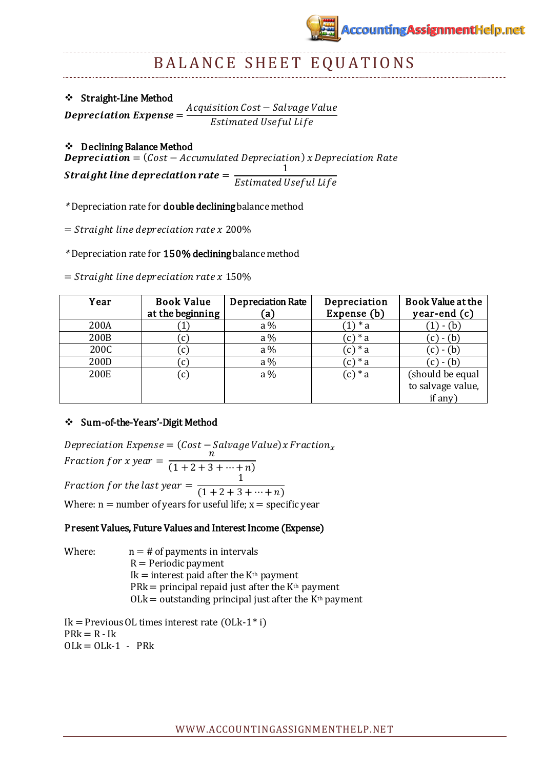# ccounting AssignmentHelp.net

# BALANCE SHEET EQUATIONS

Straight-Line Method

 $\boldsymbol{D}$  $\overline{A}$  $E_{\rm}$ 

# Declining Balance Method

**Depreciation** =  $(Cost - Accumulated Depreciation)$  x Depreciation Rate  $\mathbf{1}$ 

Straight line depreciation rate  $=$  $E_{\rm}$ 

\* Depreciation rate for **double declining** balance method

 $=$  Straight line depreciation rate x 200%

\* Depreciation rate for 150% decliningbalance method

 $=$  Straight line depreciation rate x 150%

| Year | <b>Book Value</b><br>at the beginning | <b>Depreciation Rate</b><br>(a) | Depreciation<br>Expense (b) | Book Value at the<br>year-end (c) |
|------|---------------------------------------|---------------------------------|-----------------------------|-----------------------------------|
| 200A |                                       | $a\%$                           | 1) $* a$                    | $-(b)$                            |
| 200B |                                       | $a\%$                           | $(c)*a$                     | - (b)                             |
| 200C |                                       | $a\%$                           | $(c)*a$                     | $-(b)$                            |
| 200D |                                       | $a\%$                           | $(c)*a$                     |                                   |
| 200E | $\left( 0 \right)$                    | $a\%$                           | $(c)*a$                     | (should be equal                  |
|      |                                       |                                 |                             | to salvage value,                 |
|      |                                       |                                 |                             | if any)                           |

# Sum-of-the-Years'-Digit Method

Depreciation Expense =  $(Cost - Salvage Value)$ x Fraction<sub>x</sub> F  $\overline{n}$  $(1 + 2 + 3 + \cdots + n)$ Fraction for the last year  $=$  $\mathbf{1}$  $\overline{(1+2+3+\cdots+n)}$ Where:  $n =$  number of years for useful life;  $x =$  specific year

## Present Values, Future Values and Interest Income (Expense)

Where:  $n = #$  of payments in intervals  $R = Periodic payment$  $Ik = interest$  paid after the  $K<sup>th</sup>$  payment  $PRk = principal repaid just after the K<sup>th</sup> payment$  $OLk =$  outstanding principal just after the  $K<sup>th</sup>$  payment

Ik = Previous OL times interest rate (OLk-1<sup> $*$ </sup> i)  $PRk = R - Ik$  $OLk = OLk-1 - PRk$